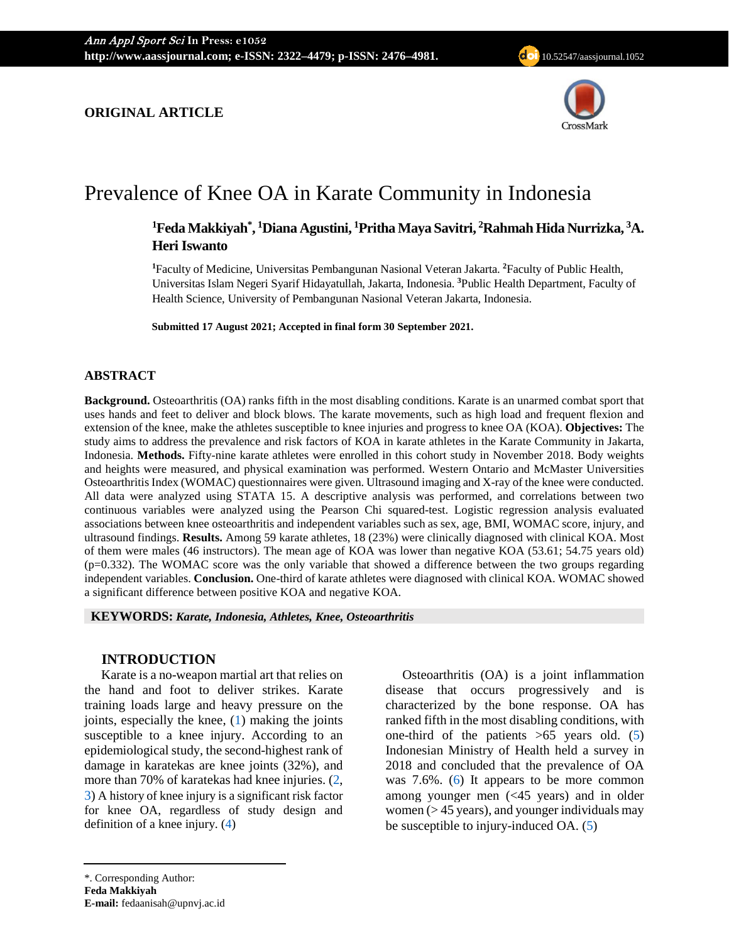

# Prevalence of Knee OA in Karate Community in Indonesia

## <sup>1</sup>Feda Makkiyah $*$ , <sup>1</sup>Diana Agustini, <sup>1</sup>Pritha Maya Savitri, <sup>2</sup>Rahmah Hida Nurrizka, <sup>3</sup>A. **Heri Iswanto**

**1** Faculty of Medicine, Universitas Pembangunan Nasional Veteran Jakarta. **<sup>2</sup>** Faculty of Public Health, Universitas Islam Negeri Syarif Hidayatullah, Jakarta, Indonesia. **<sup>3</sup>** Public Health Department, Faculty of Health Science, University of Pembangunan Nasional Veteran Jakarta, Indonesia.

**Submitted 17 August 2021; Accepted in final form 30 September 2021.**

### **ABSTRACT**

**Background.** Osteoarthritis (OA) ranks fifth in the most disabling conditions. Karate is an unarmed combat sport that uses hands and feet to deliver and block blows. The karate movements, such as high load and frequent flexion and extension of the knee, make the athletes susceptible to knee injuries and progress to knee OA (KOA). **Objectives:** The study aims to address the prevalence and risk factors of KOA in karate athletes in the Karate Community in Jakarta, Indonesia. **Methods.** Fifty-nine karate athletes were enrolled in this cohort study in November 2018. Body weights and heights were measured, and physical examination was performed. Western Ontario and McMaster Universities Osteoarthritis Index (WOMAC) questionnaires were given. Ultrasound imaging and X-ray of the knee were conducted. All data were analyzed using STATA 15. A descriptive analysis was performed, and correlations between two continuous variables were analyzed using the Pearson Chi squared-test. Logistic regression analysis evaluated associations between knee osteoarthritis and independent variables such as sex, age, BMI, WOMAC score, injury, and ultrasound findings. **Results.** Among 59 karate athletes, 18 (23%) were clinically diagnosed with clinical KOA. Most of them were males (46 instructors). The mean age of KOA was lower than negative KOA (53.61; 54.75 years old)  $(p=0.332)$ . The WOMAC score was the only variable that showed a difference between the two groups regarding independent variables. **Conclusion.** One-third of karate athletes were diagnosed with clinical KOA. WOMAC showed a significant difference between positive KOA and negative KOA.

**KEYWORDS:** *Karate, Indonesia, Athletes, Knee, Osteoarthritis*

#### **INTRODUCTION**

Karate is a no-weapon martial art that relies on the hand and foot to deliver strikes. Karate training loads large and heavy pressure on the joints, especially the knee, [\(1\)](#page-5-0) making the joints susceptible to a knee injury. According to an epidemiological study, the second-highest rank of damage in karatekas are knee joints (32%), and more than 70% of karatekas had knee injuries. [\(2,](#page-5-1)  [3\)](#page-5-2) A history of knee injury is a significant risk factor for knee OA, regardless of study design and definition of a knee injury. [\(4\)](#page-5-3)

Osteoarthritis (OA) is a joint inflammation disease that occurs progressively and is characterized by the bone response. OA has ranked fifth in the most disabling conditions, with one-third of the patients  $>65$  years old. [\(5\)](#page-5-4) Indonesian Ministry of Health held a survey in 2018 and concluded that the prevalence of OA was 7.6%. [\(6\)](#page-5-5) It appears to be more common among younger men (<45 years) and in older women  $($  > 45 years), and younger individuals may be susceptible to injury-induced OA. [\(5\)](#page-5-4)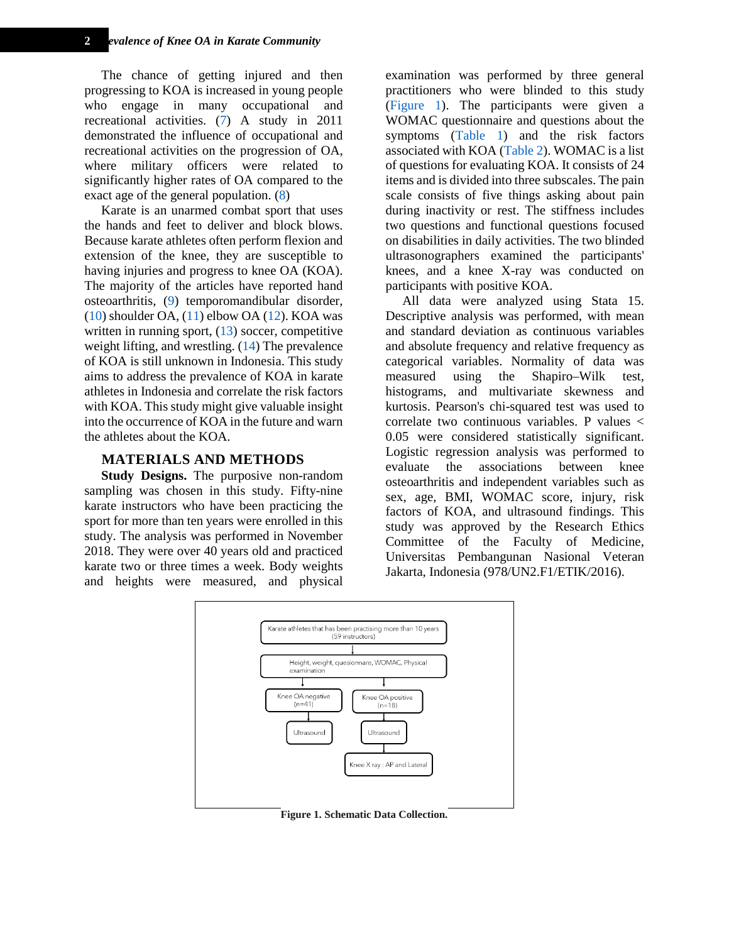The chance of getting injured and then progressing to KOA is increased in young people who engage in many occupational and recreational activities. [\(7\)](#page-5-6) A study in 2011 demonstrated the influence of occupational and recreational activities on the progression of OA, where military officers were related to significantly higher rates of OA compared to the exact age of the general population. [\(8\)](#page-5-7)

Karate is an unarmed combat sport that uses the hands and feet to deliver and block blows. Because karate athletes often perform flexion and extension of the knee, they are susceptible to having injuries and progress to knee OA (KOA). The majority of the articles have reported hand osteoarthritis, [\(9\)](#page-5-8) temporomandibular disorder,  $(10)$  shoulder OA,  $(11)$  elbow OA  $(12)$ . KOA was written in running sport,  $(13)$  soccer, competitive weight lifting, and wrestling. [\(14\)](#page-5-13) The prevalence of KOA is still unknown in Indonesia. This study aims to address the prevalence of KOA in karate athletes in Indonesia and correlate the risk factors with KOA. This study might give valuable insight into the occurrence of KOA in the future and warn the athletes about the KOA.

#### **MATERIALS AND METHODS**

**Study Designs.** The purposive non-random sampling was chosen in this study. Fifty-nine karate instructors who have been practicing the sport for more than ten years were enrolled in this study. The analysis was performed in November 2018. They were over 40 years old and practiced karate two or three times a week. Body weights and heights were measured, and physical

examination was performed by three general practitioners who were blinded to this study [\(Figure](#page-1-0) 1). The participants were given a WOMAC questionnaire and questions about the symptoms [\(Table 1\)](#page-2-0) and the risk factors associated with KOA [\(Table 2\)](#page-2-1). WOMAC is a list of questions for evaluating KOA. It consists of 24 items and is divided into three subscales. The pain scale consists of five things asking about pain during inactivity or rest. The stiffness includes two questions and functional questions focused on disabilities in daily activities. The two blinded ultrasonographers examined the participants' knees, and a knee X-ray was conducted on participants with positive KOA.

All data were analyzed using Stata 15. Descriptive analysis was performed, with mean and standard deviation as continuous variables and absolute frequency and relative frequency as categorical variables. Normality of data was measured using the Shapiro–Wilk test, histograms, and multivariate skewness and kurtosis. Pearson's chi-squared test was used to correlate two continuous variables. P values < 0.05 were considered statistically significant. Logistic regression analysis was performed to evaluate the associations between knee osteoarthritis and independent variables such as sex, age, BMI, WOMAC score, injury, risk factors of KOA, and ultrasound findings. This study was approved by the Research Ethics Committee of the Faculty of Medicine, Universitas Pembangunan Nasional Veteran Jakarta, Indonesia (978/UN2.F1/ETIK/2016).



<span id="page-1-0"></span>**Figure 1. Schematic Data Collection.**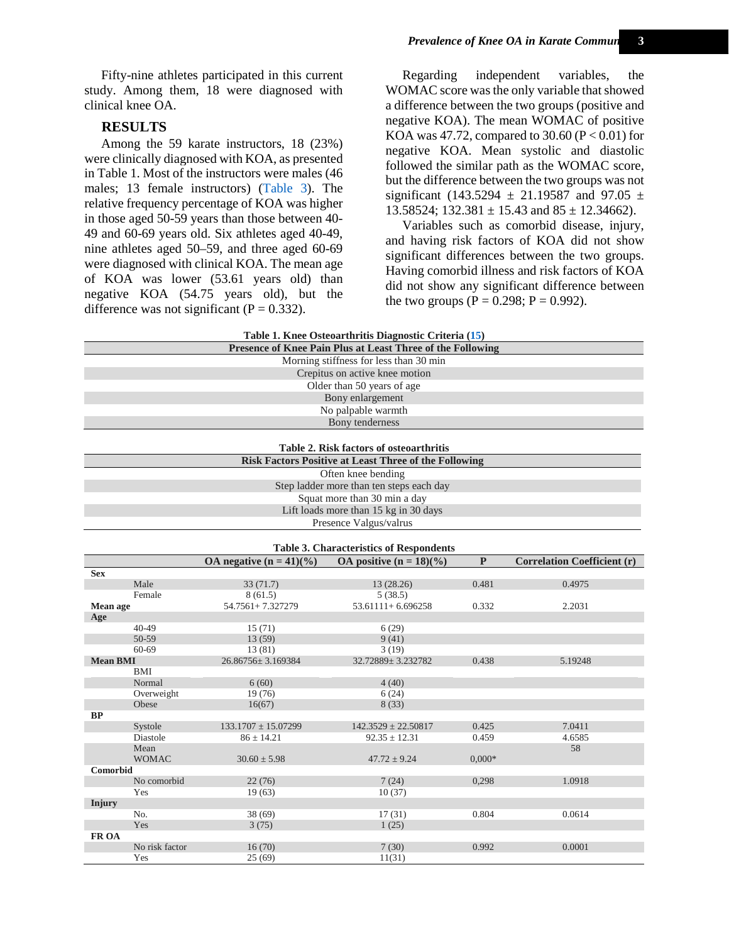#### **RESULTS**

Among the 59 karate instructors, 18 (23%) were clinically diagnosed with KOA, as presented in Table 1. Most of the instructors were males (46 males; 13 female instructors) [\(Table 3\)](#page-2-2). The relative frequency percentage of KOA was higher in those aged 50-59 years than those between 40- 49 and 60-69 years old. Six athletes aged 40-49, nine athletes aged 50–59, and three aged 60-69 were diagnosed with clinical KOA. The mean age of KOA was lower (53.61 years old) than negative KOA (54.75 years old), but the difference was not significant ( $P = 0.332$ ).

Regarding independent variables, the WOMAC score was the only variable that showed a difference between the two groups (positive and negative KOA). The mean WOMAC of positive KOA was 47.72, compared to 30.60 ( $P < 0.01$ ) for negative KOA. Mean systolic and diastolic followed the similar path as the WOMAC score, but the difference between the two groups was not significant (143.5294  $\pm$  21.19587 and 97.05  $\pm$ 13.58524; 132.381  $\pm$  15.43 and 85  $\pm$  12.34662).

Variables such as comorbid disease, injury, and having risk factors of KOA did not show significant differences between the two groups. Having comorbid illness and risk factors of KOA did not show any significant difference between the two groups ( $P = 0.298$ ;  $P = 0.992$ ).

<span id="page-2-2"></span><span id="page-2-1"></span><span id="page-2-0"></span>

| Table 1. Knee Osteval thritis Diagnostic Criteria (13)       |                                                |                            |                                       |              |                                    |  |  |  |
|--------------------------------------------------------------|------------------------------------------------|----------------------------|---------------------------------------|--------------|------------------------------------|--|--|--|
| Presence of Knee Pain Plus at Least Three of the Following   |                                                |                            |                                       |              |                                    |  |  |  |
| Morning stiffness for less than 30 min                       |                                                |                            |                                       |              |                                    |  |  |  |
| Crepitus on active knee motion                               |                                                |                            |                                       |              |                                    |  |  |  |
| Older than 50 years of age                                   |                                                |                            |                                       |              |                                    |  |  |  |
| Bony enlargement                                             |                                                |                            |                                       |              |                                    |  |  |  |
| No palpable warmth                                           |                                                |                            |                                       |              |                                    |  |  |  |
|                                                              | Bony tenderness                                |                            |                                       |              |                                    |  |  |  |
|                                                              |                                                |                            |                                       |              |                                    |  |  |  |
|                                                              |                                                |                            |                                       |              |                                    |  |  |  |
| Table 2. Risk factors of osteoarthritis                      |                                                |                            |                                       |              |                                    |  |  |  |
| <b>Risk Factors Positive at Least Three of the Following</b> |                                                |                            |                                       |              |                                    |  |  |  |
| Often knee bending                                           |                                                |                            |                                       |              |                                    |  |  |  |
|                                                              | Step ladder more than ten steps each day       |                            |                                       |              |                                    |  |  |  |
|                                                              | Squat more than 30 min a day                   |                            |                                       |              |                                    |  |  |  |
|                                                              |                                                |                            | Lift loads more than 15 kg in 30 days |              |                                    |  |  |  |
|                                                              | Presence Valgus/valrus                         |                            |                                       |              |                                    |  |  |  |
|                                                              |                                                |                            |                                       |              |                                    |  |  |  |
|                                                              | <b>Table 3. Characteristics of Respondents</b> |                            |                                       |              |                                    |  |  |  |
|                                                              |                                                | OA negative $(n = 41)(\%)$ | OA positive $(n = 18)(\%)$            | $\mathbf{P}$ | <b>Correlation Coefficient (r)</b> |  |  |  |
| <b>Sex</b>                                                   |                                                |                            |                                       |              |                                    |  |  |  |
|                                                              | Male                                           | 33(71.7)                   | 13 (28.26)                            | 0.481        | 0.4975                             |  |  |  |
|                                                              | Female                                         | 8(61.5)                    | 5(38.5)                               |              |                                    |  |  |  |
| Mean age                                                     |                                                | 54.7561+7.327279           | $53.61111 + 6.696258$                 | 0.332        | 2.2031                             |  |  |  |
| Age                                                          |                                                |                            |                                       |              |                                    |  |  |  |
|                                                              | $40 - 49$                                      | 15(71)                     | 6(29)                                 |              |                                    |  |  |  |
|                                                              | 50-59                                          | 13 (59)                    | 9(41)                                 |              |                                    |  |  |  |
|                                                              | 60-69                                          | 13(81)                     | 3(19)                                 |              |                                    |  |  |  |
| <b>Mean BMI</b>                                              |                                                | 26.86756±3.169384          | 32.72889±3.232782                     | 0.438        | 5.19248                            |  |  |  |
|                                                              | <b>BMI</b>                                     |                            |                                       |              |                                    |  |  |  |
|                                                              | Normal                                         | 6(60)                      | 4(40)                                 |              |                                    |  |  |  |
|                                                              | Overweight                                     | 19 (76)                    | 6(24)                                 |              |                                    |  |  |  |
|                                                              | Obese                                          | 16(67)                     | 8(33)                                 |              |                                    |  |  |  |
| BP                                                           |                                                | $133.1707 \pm 15.07299$    | $142.3529 \pm 22.50817$               | 0.425        | 7.0411                             |  |  |  |
|                                                              | Systole<br>Diastole                            | $86 \pm 14.21$             | $92.35 \pm 12.31$                     | 0.459        | 4.6585                             |  |  |  |
|                                                              | Mean                                           |                            |                                       |              | 58                                 |  |  |  |
|                                                              | <b>WOMAC</b>                                   | $30.60 \pm 5.98$           | $47.72 \pm 9.24$                      | $0,000*$     |                                    |  |  |  |
| Comorbid                                                     |                                                |                            |                                       |              |                                    |  |  |  |
|                                                              | No comorbid                                    | 22(76)                     | 7(24)                                 | 0.298        | 1.0918                             |  |  |  |
|                                                              | Yes                                            | 19(63)                     | 10(37)                                |              |                                    |  |  |  |
| Injury                                                       |                                                |                            |                                       |              |                                    |  |  |  |
|                                                              | No.                                            | 38 (69)                    | 17(31)                                | 0.804        | 0.0614                             |  |  |  |
|                                                              | Yes                                            | 3(75)                      | 1(25)                                 |              |                                    |  |  |  |
| FR OA                                                        |                                                |                            |                                       |              |                                    |  |  |  |
|                                                              | No risk factor                                 | 16(70)                     | 7(30)                                 | 0.992        | 0.0001                             |  |  |  |
|                                                              | Yes                                            | 25(69)                     | 11(31)                                |              |                                    |  |  |  |

**Table 1. Knee Osteoarthritis Diagnostic Criteria [\(15\)](#page-5-14)**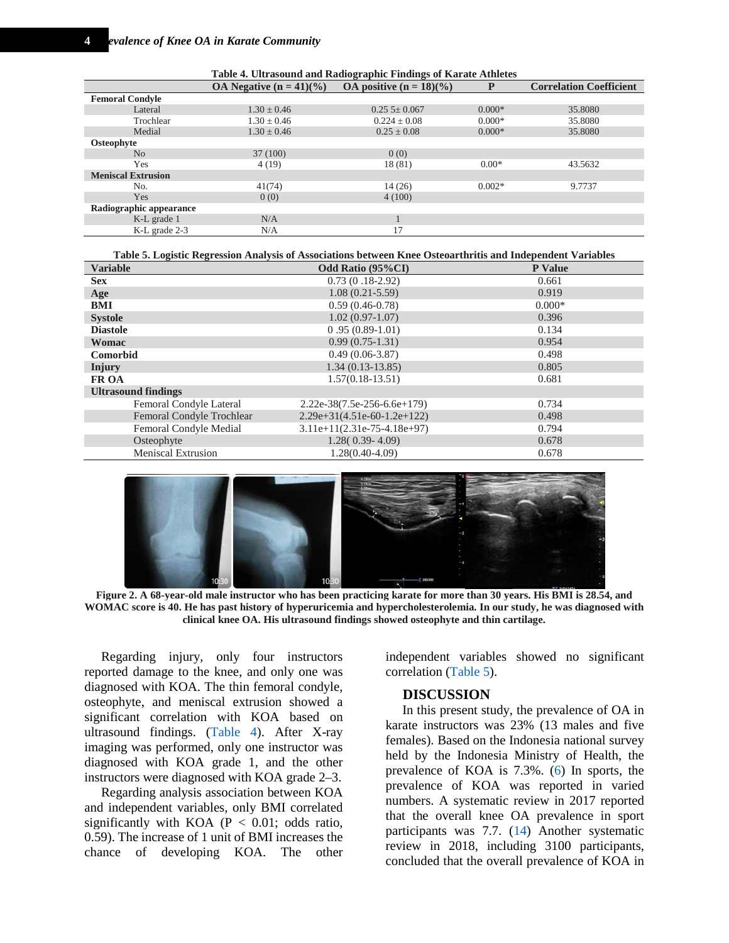<span id="page-3-0"></span>**Table 4. Ultrasound and Radiographic Findings of Karate Athletes OA Negative**  $(n = 41)(\%)$  **OA** positive  $(n = 18)(\%)$  **P Correlation Coefficient Femoral Condyle** Lateral  $1.30 \pm 0.46$   $0.255 \pm 0.067$   $0.000*$  35.8080 Trochlear 1.30  $\pm$  0.46 0.224  $\pm$  0.08 0.000\* 35.8080 Medial  $1.30 \pm 0.46$   $0.25 \pm 0.08$   $0.000*$  35.8080 **Osteophyte** No  $37 (100)$  0 (0) Yes  $4(19)$   $18(81)$   $0.00*$   $43.5632$ **Meniscal Extrusion** No.  $41(74)$   $14(26)$   $0.002*$  9.7737 Yes  $0(0)$  4 (100) **Radiographic appearance** K-L grade 1  $N/A$  1<br>
K-L grade 2-3  $N/A$  17 K-L grade 2-3

<span id="page-3-1"></span>

| Table 5. Logistic Regression Analysis of Associations between Knee Osteoarthritis and Independent Variables |                               |                |  |  |  |  |
|-------------------------------------------------------------------------------------------------------------|-------------------------------|----------------|--|--|--|--|
| <b>Variable</b>                                                                                             | Odd Ratio (95%CI)             | <b>P</b> Value |  |  |  |  |
| <b>Sex</b>                                                                                                  | $0.73(0.18-2.92)$             | 0.661          |  |  |  |  |
| Age                                                                                                         | $1.08(0.21 - 5.59)$           | 0.919          |  |  |  |  |
| BMI                                                                                                         | $0.59(0.46-0.78)$             | $0.000*$       |  |  |  |  |
| <b>Systole</b>                                                                                              | $1.02(0.97-1.07)$             | 0.396          |  |  |  |  |
| <b>Diastole</b>                                                                                             | $0.95(0.89-1.01)$             | 0.134          |  |  |  |  |
| Womac                                                                                                       | $0.99(0.75-1.31)$             | 0.954          |  |  |  |  |
| <b>Comorbid</b>                                                                                             | $0.49(0.06-3.87)$             | 0.498          |  |  |  |  |
| Injury                                                                                                      | $1.34(0.13-13.85)$            | 0.805          |  |  |  |  |
| <b>FR OA</b>                                                                                                | $1.57(0.18-13.51)$            | 0.681          |  |  |  |  |
| <b>Ultrasound findings</b>                                                                                  |                               |                |  |  |  |  |
| Femoral Condyle Lateral                                                                                     | $2.22e-38(7.5e-256-6.6e+179)$ | 0.734          |  |  |  |  |
| Femoral Condyle Trochlear                                                                                   | $2.29e+31(4.51e-60-1.2e+122)$ | 0.498          |  |  |  |  |
| Femoral Condyle Medial                                                                                      | $3.11e+11(2.31e-75-4.18e+97)$ | 0.794          |  |  |  |  |
| Osteophyte                                                                                                  | $1.28(0.39-4.09)$             | 0.678          |  |  |  |  |
| <b>Meniscal Extrusion</b>                                                                                   | 1.28(0.40-4.09)               | 0.678          |  |  |  |  |



**Figure 2. A 68-year-old male instructor who has been practicing karate for more than 30 years. His BMI is 28.54, and WOMAC score is 40. He has past history of hyperuricemia and hypercholesterolemia. In our study, he was diagnosed with clinical knee OA. His ultrasound findings showed osteophyte and thin cartilage.**

Regarding injury, only four instructors reported damage to the knee, and only one was diagnosed with KOA. The thin femoral condyle, osteophyte, and meniscal extrusion showed a significant correlation with KOA based on ultrasound findings. [\(Table 4\)](#page-3-0). After X-ray imaging was performed, only one instructor was diagnosed with KOA grade 1, and the other instructors were diagnosed with KOA grade 2–3.

Regarding analysis association between KOA and independent variables, only BMI correlated significantly with KOA ( $P < 0.01$ ; odds ratio, 0.59). The increase of 1 unit of BMI increases the chance of developing KOA. The other

independent variables showed no significant correlation [\(Table 5\)](#page-3-1).

#### **DISCUSSION**

In this present study, the prevalence of OA in karate instructors was 23% (13 males and five females). Based on the Indonesia national survey held by the Indonesia Ministry of Health, the prevalence of KOA is 7.3%. [\(6\)](#page-5-5) In sports, the prevalence of KOA was reported in varied numbers. A systematic review in 2017 reported that the overall knee OA prevalence in sport participants was 7.7. [\(14\)](#page-5-13) Another systematic review in 2018, including 3100 participants, concluded that the overall prevalence of KOA in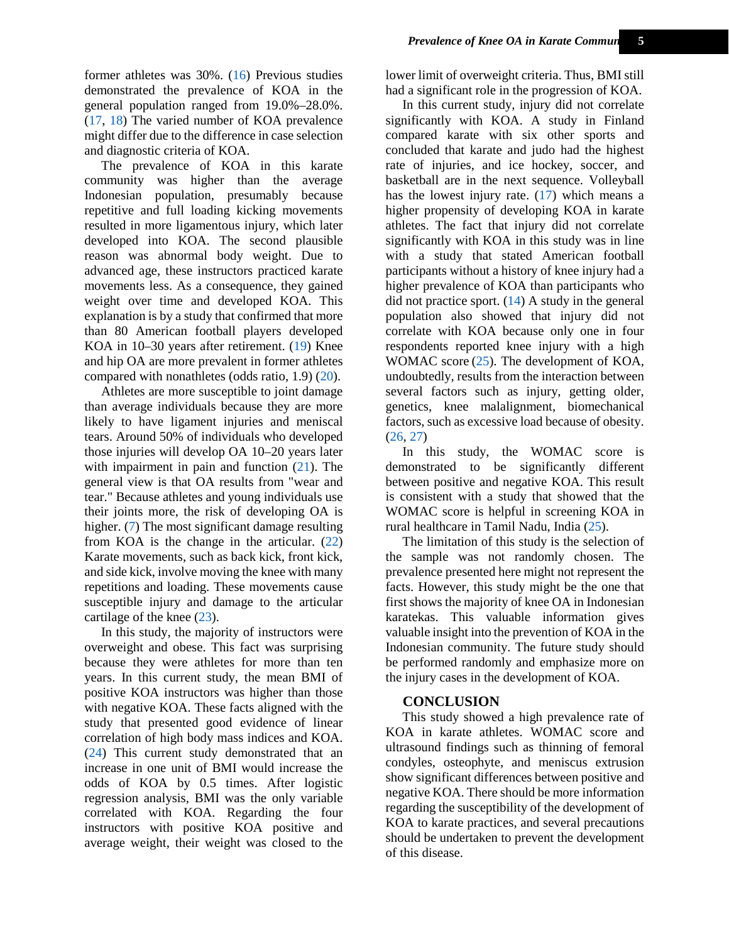former athletes was 30%. [\(16\)](#page-5-15) Previous studies demonstrated the prevalence of KOA in the general population ranged from 19.0%–28.0%. [\(17,](#page-5-16) [18\)](#page-5-17) The varied number of KOA prevalence might differ due to the difference in case selection and diagnostic criteria of KOA.

The prevalence of KOA in this karate community was higher than the average Indonesian population, presumably because repetitive and full loading kicking movements resulted in more ligamentous injury, which later developed into KOA. The second plausible reason was abnormal body weight. Due to advanced age, these instructors practiced karate movements less. As a consequence, they gained weight over time and developed KOA. This explanation is by a study that confirmed that more than 80 American football players developed KOA in 10–30 years after retirement. [\(19\)](#page-5-18) Knee and hip OA are more prevalent in former athletes compared with nonathletes (odds ratio, 1.9) [\(20\)](#page-5-19).

Athletes are more susceptible to joint damage than average individuals because they are more likely to have ligament injuries and meniscal tears. Around 50% of individuals who developed those injuries will develop OA 10–20 years later with impairment in pain and function  $(21)$ . The general view is that OA results from "wear and tear." Because athletes and young individuals use their joints more, the risk of developing OA is higher. [\(7\)](#page-5-6) The most significant damage resulting from KOA is the change in the articular. [\(22\)](#page-6-1) Karate movements, such as back kick, front kick, and side kick, involve moving the knee with many repetitions and loading. These movements cause susceptible injury and damage to the articular cartilage of the knee [\(23\)](#page-6-2).

In this study, the majority of instructors were overweight and obese. This fact was surprising because they were athletes for more than ten years. In this current study, the mean BMI of positive KOA instructors was higher than those with negative KOA. These facts aligned with the study that presented good evidence of linear correlation of high body mass indices and KOA. [\(24\)](#page-6-3) This current study demonstrated that an increase in one unit of BMI would increase the odds of KOA by 0.5 times. After logistic regression analysis, BMI was the only variable correlated with KOA. Regarding the four instructors with positive KOA positive and average weight, their weight was closed to the

lower limit of overweight criteria. Thus, BMI still had a significant role in the progression of KOA.

In this current study, injury did not correlate significantly with KOA. A study in Finland compared karate with six other sports and concluded that karate and judo had the highest rate of injuries, and ice hockey, soccer, and basketball are in the next sequence. Volleyball has the lowest injury rate. [\(17\)](#page-5-16) which means a higher propensity of developing KOA in karate athletes. The fact that injury did not correlate significantly with KOA in this study was in line with a study that stated American football participants without a history of knee injury had a higher prevalence of KOA than participants who did not practice sport.  $(14)$  A study in the general population also showed that injury did not correlate with KOA because only one in four respondents reported knee injury with a high WOMAC score [\(25\)](#page-6-4). The development of KOA, undoubtedly, results from the interaction between several factors such as injury, getting older, genetics, knee malalignment, biomechanical factors, such as excessive load because of obesity. [\(26,](#page-6-5) [27\)](#page-6-6)

In this study, the WOMAC score is demonstrated to be significantly different between positive and negative KOA. This result is consistent with a study that showed that the WOMAC score is helpful in screening KOA in rural healthcare in Tamil Nadu, India [\(25\)](#page-6-4).

The limitation of this study is the selection of the sample was not randomly chosen. The prevalence presented here might not represent the facts. However, this study might be the one that first shows the majority of knee OA in Indonesian karatekas. This valuable information gives valuable insight into the prevention of KOA in the Indonesian community. The future study should be performed randomly and emphasize more on the injury cases in the development of KOA.

### **CONCLUSION**

This study showed a high prevalence rate of KOA in karate athletes. WOMAC score and ultrasound findings such as thinning of femoral condyles, osteophyte, and meniscus extrusion show significant differences between positive and negative KOA. There should be more information regarding the susceptibility of the development of KOA to karate practices, and several precautions should be undertaken to prevent the development of this disease.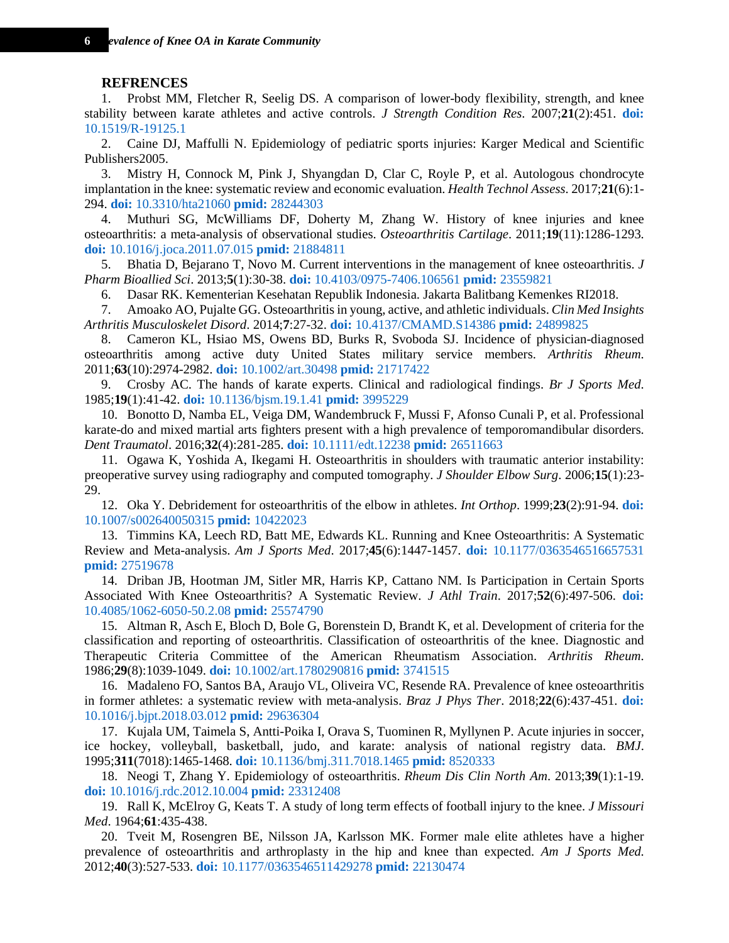#### <span id="page-5-0"></span>**REFRENCES**

1. Probst MM, Fletcher R, Seelig DS. A comparison of lower-body flexibility, strength, and knee stability between karate athletes and active controls. *J Strength Condition Res*. 2007;**21**(2):451. **[doi:](http://dx.doi.org/10.1519/R-19125.1)**  [10.1519/R-19125.1](http://dx.doi.org/10.1519/R-19125.1)

<span id="page-5-1"></span>2. Caine DJ, Maffulli N. Epidemiology of pediatric sports injuries: Karger Medical and Scientific Publishers2005.

<span id="page-5-2"></span>3. Mistry H, Connock M, Pink J, Shyangdan D, Clar C, Royle P, et al. Autologous chondrocyte implantation in the knee: systematic review and economic evaluation. *Health Technol Assess*. 2017;**21**(6):1- 294. **doi:** [10.3310/hta21060](http://dx.doi.org/10.3310/hta21060) **pmid:** [28244303](http://ncbi.nlm.nih.gov/pubmed/28244303)

<span id="page-5-3"></span>4. Muthuri SG, McWilliams DF, Doherty M, Zhang W. History of knee injuries and knee osteoarthritis: a meta-analysis of observational studies. *Osteoarthritis Cartilage*. 2011;**19**(11):1286-1293. **doi:** [10.1016/j.joca.2011.07.015](http://dx.doi.org/10.1016/j.joca.2011.07.015) **pmid:** [21884811](http://ncbi.nlm.nih.gov/pubmed/21884811)

<span id="page-5-4"></span>5. Bhatia D, Bejarano T, Novo M. Current interventions in the management of knee osteoarthritis. *J Pharm Bioallied Sci*. 2013;**5**(1):30-38. **doi:** [10.4103/0975-7406.106561](http://dx.doi.org/10.4103/0975-7406.106561) **pmid:** [23559821](http://ncbi.nlm.nih.gov/pubmed/23559821)

6. Dasar RK. Kementerian Kesehatan Republik Indonesia. Jakarta Balitbang Kemenkes RI2018.

<span id="page-5-6"></span><span id="page-5-5"></span>7. Amoako AO, Pujalte GG. Osteoarthritis in young, active, and athletic individuals. *Clin Med Insights Arthritis Musculoskelet Disord*. 2014;**7**:27-32. **doi:** [10.4137/CMAMD.S14386](http://dx.doi.org/10.4137/CMAMD.S14386) **pmid:** [24899825](http://ncbi.nlm.nih.gov/pubmed/24899825)

<span id="page-5-7"></span>8. Cameron KL, Hsiao MS, Owens BD, Burks R, Svoboda SJ. Incidence of physician-diagnosed osteoarthritis among active duty United States military service members. *Arthritis Rheum*. 2011;**63**(10):2974-2982. **doi:** [10.1002/art.30498](http://dx.doi.org/10.1002/art.30498) **pmid:** [21717422](http://ncbi.nlm.nih.gov/pubmed/21717422)

<span id="page-5-8"></span>9. Crosby AC. The hands of karate experts. Clinical and radiological findings. *Br J Sports Med*. 1985;**19**(1):41-42. **doi:** [10.1136/bjsm.19.1.41](http://dx.doi.org/10.1136/bjsm.19.1.41) **pmid:** [3995229](http://ncbi.nlm.nih.gov/pubmed/3995229)

<span id="page-5-9"></span>10. Bonotto D, Namba EL, Veiga DM, Wandembruck F, Mussi F, Afonso Cunali P, et al. Professional karate-do and mixed martial arts fighters present with a high prevalence of temporomandibular disorders. *Dent Traumatol*. 2016;**32**(4):281-285. **doi:** [10.1111/edt.12238](http://dx.doi.org/10.1111/edt.12238) **pmid:** [26511663](http://ncbi.nlm.nih.gov/pubmed/26511663)

<span id="page-5-10"></span>11. Ogawa K, Yoshida A, Ikegami H. Osteoarthritis in shoulders with traumatic anterior instability: preoperative survey using radiography and computed tomography. *J Shoulder Elbow Surg*. 2006;**15**(1):23- 29.

<span id="page-5-11"></span>12. Oka Y. Debridement for osteoarthritis of the elbow in athletes. *Int Orthop*. 1999;**23**(2):91-94. **[doi:](http://dx.doi.org/10.1007/s002640050315)**  [10.1007/s002640050315](http://dx.doi.org/10.1007/s002640050315) **pmid:** [10422023](http://ncbi.nlm.nih.gov/pubmed/10422023)

<span id="page-5-12"></span>13. Timmins KA, Leech RD, Batt ME, Edwards KL. Running and Knee Osteoarthritis: A Systematic Review and Meta-analysis. *Am J Sports Med*. 2017;**45**(6):1447-1457. **doi:** [10.1177/0363546516657531](http://dx.doi.org/10.1177/0363546516657531) **pmid:** [27519678](http://ncbi.nlm.nih.gov/pubmed/27519678)

<span id="page-5-13"></span>14. Driban JB, Hootman JM, Sitler MR, Harris KP, Cattano NM. Is Participation in Certain Sports Associated With Knee Osteoarthritis? A Systematic Review. *J Athl Train*. 2017;**52**(6):497-506. **[doi:](http://dx.doi.org/10.4085/1062-6050-50.2.08)**  [10.4085/1062-6050-50.2.08](http://dx.doi.org/10.4085/1062-6050-50.2.08) **pmid:** [25574790](http://ncbi.nlm.nih.gov/pubmed/25574790)

<span id="page-5-14"></span>15. Altman R, Asch E, Bloch D, Bole G, Borenstein D, Brandt K, et al. Development of criteria for the classification and reporting of osteoarthritis. Classification of osteoarthritis of the knee. Diagnostic and Therapeutic Criteria Committee of the American Rheumatism Association. *Arthritis Rheum*. 1986;**29**(8):1039-1049. **doi:** [10.1002/art.1780290816](http://dx.doi.org/10.1002/art.1780290816) **pmid:** [3741515](http://ncbi.nlm.nih.gov/pubmed/3741515)

<span id="page-5-15"></span>16. Madaleno FO, Santos BA, Araujo VL, Oliveira VC, Resende RA. Prevalence of knee osteoarthritis in former athletes: a systematic review with meta-analysis. *Braz J Phys Ther*. 2018;**22**(6):437-451. **[doi:](http://dx.doi.org/10.1016/j.bjpt.2018.03.012)**  [10.1016/j.bjpt.2018.03.012](http://dx.doi.org/10.1016/j.bjpt.2018.03.012) **pmid:** [29636304](http://ncbi.nlm.nih.gov/pubmed/29636304)

<span id="page-5-16"></span>17. Kujala UM, Taimela S, Antti-Poika I, Orava S, Tuominen R, Myllynen P. Acute injuries in soccer, ice hockey, volleyball, basketball, judo, and karate: analysis of national registry data. *BMJ*. 1995;**311**(7018):1465-1468. **doi:** [10.1136/bmj.311.7018.1465](http://dx.doi.org/10.1136/bmj.311.7018.1465) **pmid:** [8520333](http://ncbi.nlm.nih.gov/pubmed/8520333)

<span id="page-5-17"></span>18. Neogi T, Zhang Y. Epidemiology of osteoarthritis. *Rheum Dis Clin North Am*. 2013;**39**(1):1-19. **doi:** [10.1016/j.rdc.2012.10.004](http://dx.doi.org/10.1016/j.rdc.2012.10.004) **pmid:** [23312408](http://ncbi.nlm.nih.gov/pubmed/23312408)

<span id="page-5-18"></span>19. Rall K, McElroy G, Keats T. A study of long term effects of football injury to the knee. *J Missouri Med*. 1964;**61**:435-438.

<span id="page-5-19"></span>20. Tveit M, Rosengren BE, Nilsson JA, Karlsson MK. Former male elite athletes have a higher prevalence of osteoarthritis and arthroplasty in the hip and knee than expected. *Am J Sports Med*. 2012;**40**(3):527-533. **doi:** [10.1177/0363546511429278](http://dx.doi.org/10.1177/0363546511429278) **pmid:** [22130474](http://ncbi.nlm.nih.gov/pubmed/22130474)